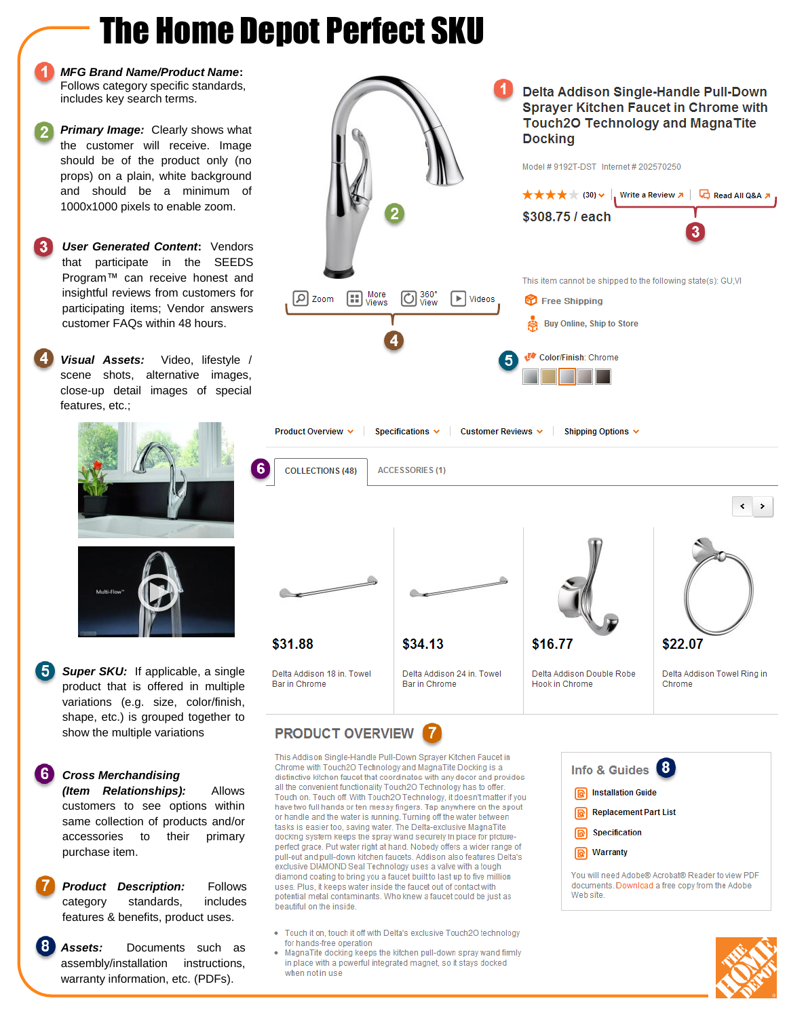# The Home Depot Perfect SKU

*MFG Brand Name/Product Name***:**  Follows category specific standards, includes key search terms.

- **Primary Image:** Clearly shows what the customer will receive. Image should be of the product only (no props) on a plain, white background and should be a minimum of 1000x1000 pixels to enable zoom.
- *User Generated Content***:** Vendors 3 that participate in the SEEDS Program™ can receive honest and insightful reviews from customers for participating items; Vendor answers customer FAQs within 48 hours.
	- *Visual Assets:* Video, lifestyle / scene shots, alternative images, close-up detail images of special features, etc.;





**5** Super SKU: If applicable, a single product that is offered in multiple variations (e.g. size, color/finish, shape, etc.) is grouped together to show the multiple variations

#### **G** *Cross Merchandising*

*(Item Relationships):* Allows customers to see options within same collection of products and/or accessories to their primary purchase item.

**Product Description:** Follows category standards, includes features & benefits, product uses.

8 *Assets:* Documents such as assembly/installation instructions, warranty information, etc. (PDFs).



### **PRODUCT OVERVIEW**

This Addison Single-Handle Pull-Down Sprayer Kitchen Faucet in Chrome with Touch2O Technology and MagnaTite Docking is a distinctive kitchen faucet that coordinates with any decor and provides all the convenient functionality Touch2O Technology has to offer Touch on. Touch off. With Touch2O Technology, it doesn't matter if you have two full hands or ten messy fingers. Tap anywhere on the spout or handle and the water is running. Turning off the water between tasks is easier too, saving water. The Delta-exclusive MagnaTite docking system keeps the spray wand securely in place for pictureperfect grace. Put water right at hand. Nobody offers a wider range of pull-out and pull-down kitchen faucets. Addison also features Delta's exclusive DIAMOND Seal Technology uses a valve with a tough diamond coating to bring you a faucet built to last up to five million uses. Plus, it keeps water inside the faucet out of contact with potential metal contaminants. Who knew a faucet could be just as beautiful on the inside.

- Touch it on, touch it off with Delta's exclusive Touch2O technology for hands-free operation
- · MagnaTite docking keeps the kitchen pull-down spray wand firmly in place with a powerful integrated magnet, so it stays docked when not in use



You will need Adobe® Acrobat® Reader to view PDF documents. Download a free copy from the Adobe Web site.

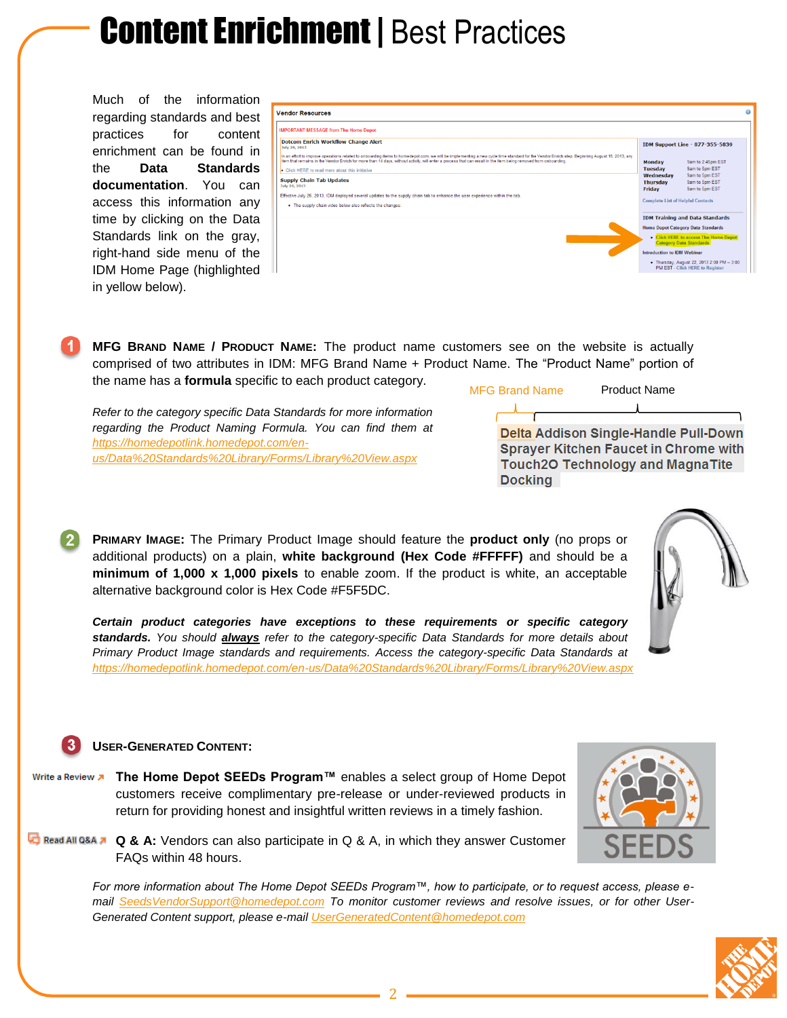# **Content Enrichment | Best Practices**

Much of the information regarding standards and best practices for content enrichment can be found in the **Data Standards documentation**. You can access this information any time by clicking on the Data Standards link on the gray, right-hand side menu of the IDM Home Page (highlighted in yellow below).

| <b>Vendor Resources</b>                                                                                                                                                                                                                                                                                                                                          |                                                                                       |
|------------------------------------------------------------------------------------------------------------------------------------------------------------------------------------------------------------------------------------------------------------------------------------------------------------------------------------------------------------------|---------------------------------------------------------------------------------------|
| <b>IMPORTANT MESSAGE from The Home Depot</b>                                                                                                                                                                                                                                                                                                                     |                                                                                       |
| <b>Dotcom Enrich Workflow Change Alert</b><br>July 29, 2013                                                                                                                                                                                                                                                                                                      | IDM Support Line - 877-355-5839                                                       |
| In an effort to improve operations related to onboarding items to homedepot.com, we will be implementing a new cycle time standard for the Vendor Enrich step. Beginning August 15, 2013, any<br>item that remains in the Vendor Enrich for more than 14 days, without activity, will enter a process that can result in the item being removed from onboarding. | 9am to 2:45pm EST<br><b>Monday</b>                                                    |
| • Click HERE to read more about this initiative                                                                                                                                                                                                                                                                                                                  | 9am to 5pm EST<br><b>Tuesday</b>                                                      |
| <b>Supply Chain Tab Updates</b><br>July 26, 2013                                                                                                                                                                                                                                                                                                                 | 9am to 5pm EST<br>Wednesdav<br>9am to 5pm EST<br>Thursday<br>9am to 5pm EST<br>Friday |
| Effective July 26, 2013, IDM deployed several updates to the supply chain tab to enhance the user experience within the tab.                                                                                                                                                                                                                                     |                                                                                       |
| • The supply chain video below also reflects the changes:                                                                                                                                                                                                                                                                                                        | <b>Complete List of Helpful Contacts</b>                                              |
|                                                                                                                                                                                                                                                                                                                                                                  | <b>IDM Training and Data Standards</b>                                                |
|                                                                                                                                                                                                                                                                                                                                                                  | <b>Home Depot Category Data Standards</b>                                             |
|                                                                                                                                                                                                                                                                                                                                                                  | • Click HERE to access The Home Depot<br><b>Category Data Standards</b>               |
|                                                                                                                                                                                                                                                                                                                                                                  | <b>Introduction to IDM Webinar</b>                                                    |
|                                                                                                                                                                                                                                                                                                                                                                  | • Thursday, August 22, 2013 2:00 PM - 3:00<br><b>PM EST - Click HERE to Register</b>  |

**MFG BRAND NAME / PRODUCT NAME:** The product name customers see on the website is actually comprised of two attributes in IDM: MFG Brand Name + Product Name. The "Product Name" portion of the name has a **formula** specific to each product category.

*Refer to the category specific Data Standards for more information regarding the Product Naming Formula. You can find them at [https://homedepotlink.homedepot.com/en](https://homedepotlink.homedepot.com/en-us/Data%20Standards%20Library/Forms/Library%20View.aspx)[us/Data%20Standards%20Library/Forms/Library%20View.aspx](https://homedepotlink.homedepot.com/en-us/Data%20Standards%20Library/Forms/Library%20View.aspx)*



MFG Brand Name Product Name

**Sprayer Kitchen Faucet in Chrome with Touch2O Technology and MagnaTite Docking** 

**PRIMARY IMAGE:** The Primary Product Image should feature the **product only** (no props or additional products) on a plain, **white background (Hex Code #FFFFF)** and should be a **minimum of 1,000 x 1,000 pixels** to enable zoom. If the product is white, an acceptable alternative background color is Hex Code #F5F5DC.

*Certain product categories have exceptions to these requirements or specific category standards. You should always refer to the category-specific Data Standards for more details about Primary Product Image standards and requirements. Access the category-specific Data Standards at <https://homedepotlink.homedepot.com/en-us/Data%20Standards%20Library/Forms/Library%20View.aspx>*

#### **USER-GENERATED CONTENT:**

- Write a Review **»** The Home Depot SEEDs Program<sup>™</sup> enables a select group of Home Depot customers receive complimentary pre-release or under-reviewed products in return for providing honest and insightful written reviews in a timely fashion.
- **Q & A:** Vendors can also participate in Q & A, in which they answer Customer FAQs within 48 hours.

*For more information about The Home Depot SEEDs Program™, how to participate, or to request access, please email [SeedsVendorSupport@homedepot.com](mailto:SeedsVendorSupport@homedepot.com) To monitor customer reviews and resolve issues, or for other User-Generated Content support, please e-mail [UserGeneratedContent@homedepot.com](mailto:UserGeneratedContent@homedepot.com)*



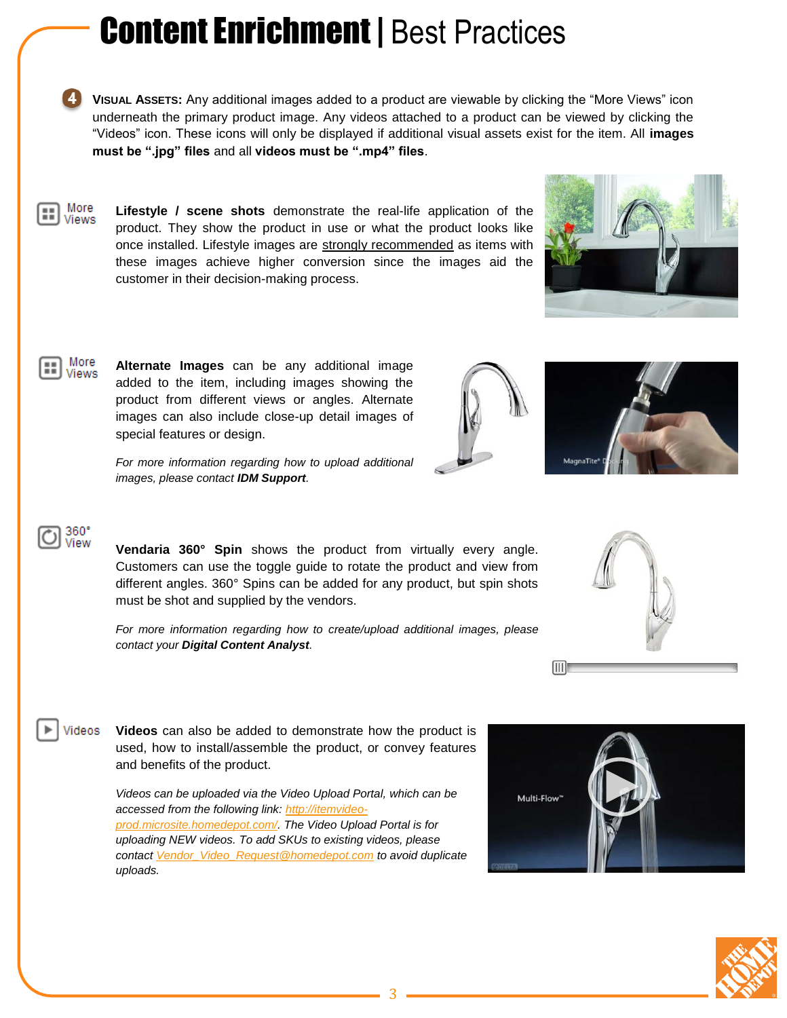# **Content Enrichment | Best Practices**

- **VISUAL ASSETS:** Any additional images added to a product are viewable by clicking the "More Views" icon underneath the primary product image. Any videos attached to a product can be viewed by clicking the "Videos" icon. These icons will only be displayed if additional visual assets exist for the item. All **images must be ".jpg" files** and all **videos must be ".mp4" files**.
- More **Lifestyle / scene shots** demonstrate the real-life application of the Views product. They show the product in use or what the product looks like once installed. Lifestyle images are strongly recommended as items with these images achieve higher conversion since the images aid the customer in their decision-making process.



*For more information regarding how to upload additional images, please contact IDM Support.*

images can also include close-up detail images of

special features or design.



### 360°<br>View

More **Views** 

> **Vendaria 360° Spin** shows the product from virtually every angle. Customers can use the toggle guide to rotate the product and view from different angles. 360° Spins can be added for any product, but spin shots must be shot and supplied by the vendors.

> *For more information regarding how to create/upload additional images, please contact your Digital Content Analyst.*

Videos **Videos** can also be added to demonstrate how the product is used, how to install/assemble the product, or convey features and benefits of the product.

> *Videos can be uploaded via the Video Upload Portal, which can be accessed from the following link: [http://itemvideo](http://itemvideo-prod.microsite.homedepot.com/)[prod.microsite.homedepot.com/.](http://itemvideo-prod.microsite.homedepot.com/) The Video Upload Portal is for uploading NEW videos. To add SKUs to existing videos, please contac[t Vendor\\_Video\\_Request@homedepot.com](mailto:Vendor_Video_Request@homedepot.com) to avoid duplicate uploads.*











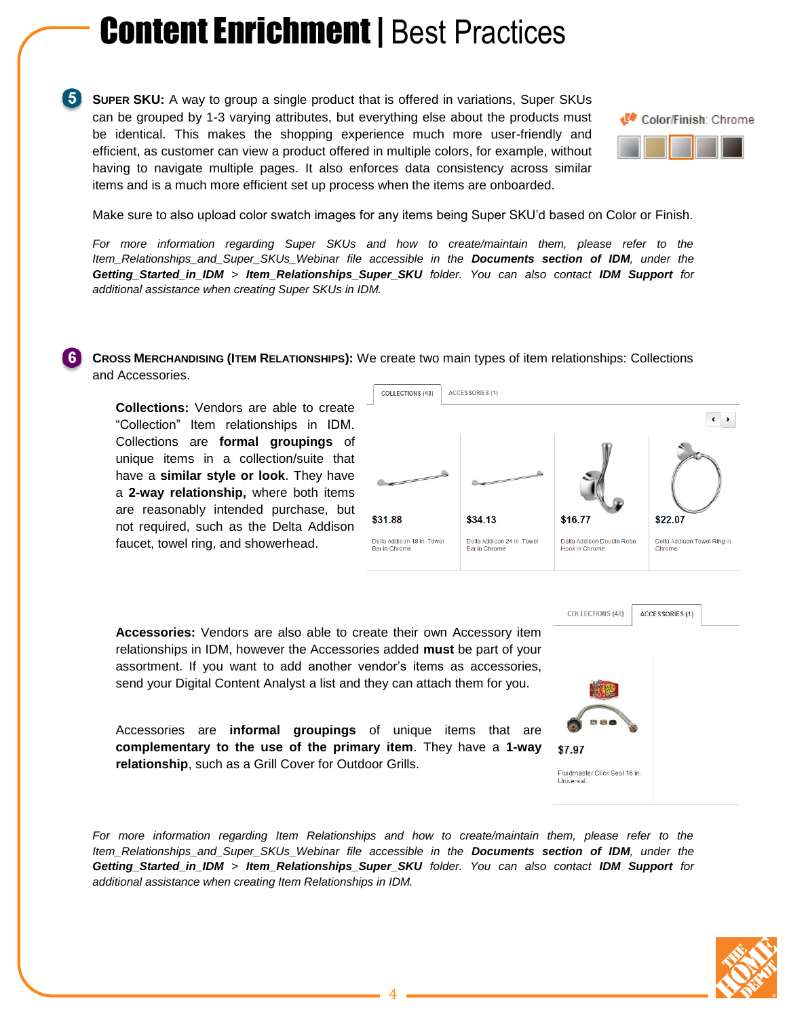## **Content Enrichment | Best Practices**

**SUPER SKU:** A way to group a single product that is offered in variations, Super SKUs can be grouped by 1-3 varying attributes, but everything else about the products must be identical. This makes the shopping experience much more user-friendly and efficient, as customer can view a product offered in multiple colors, for example, without having to navigate multiple pages. It also enforces data consistency across similar items and is a much more efficient set up process when the items are onboarded.



Make sure to also upload color swatch images for any items being Super SKU'd based on Color or Finish.

*For more information regarding Super SKUs and how to create/maintain them, please refer to the Item\_Relationships\_and\_Super\_SKUs\_Webinar file accessible in the Documents section of IDM, under the Getting\_Started\_in\_IDM > Item\_Relationships\_Super\_SKU folder. You can also contact IDM Support for additional assistance when creating Super SKUs in IDM.*

**CROSS MERCHANDISING (ITEM RELATIONSHIPS):** We create two main types of item relationships: Collections and Accessories.

**Collections:** Vendors are able to create "Collection" Item relationships in IDM. Collections are **formal groupings** of unique items in a collection/suite that have a **similar style or look**. They have a **2-way relationship,** where both items are reasonably intended purchase, but not required, such as the Delta Addison faucet, towel ring, and showerhead.



**COLLECTIONS (48)** 

\$7.97

Universal.

Fluidmaster Click Seal 16 in.

**ACCESSORIES (1)** 

**Accessories:** Vendors are also able to create their own Accessory item relationships in IDM, however the Accessories added **must** be part of your assortment. If you want to add another vendor's items as accessories, send your Digital Content Analyst a list and they can attach them for you.

Accessories are **informal groupings** of unique items that are **complementary to the use of the primary item**. They have a **1-way relationship**, such as a Grill Cover for Outdoor Grills.

*For more information regarding Item Relationships and how to create/maintain them, please refer to the Item\_Relationships\_and\_Super\_SKUs\_Webinar file accessible in the Documents section of IDM, under the Getting\_Started\_in\_IDM > Item\_Relationships\_Super\_SKU folder. You can also contact IDM Support for additional assistance when creating Item Relationships in IDM.*

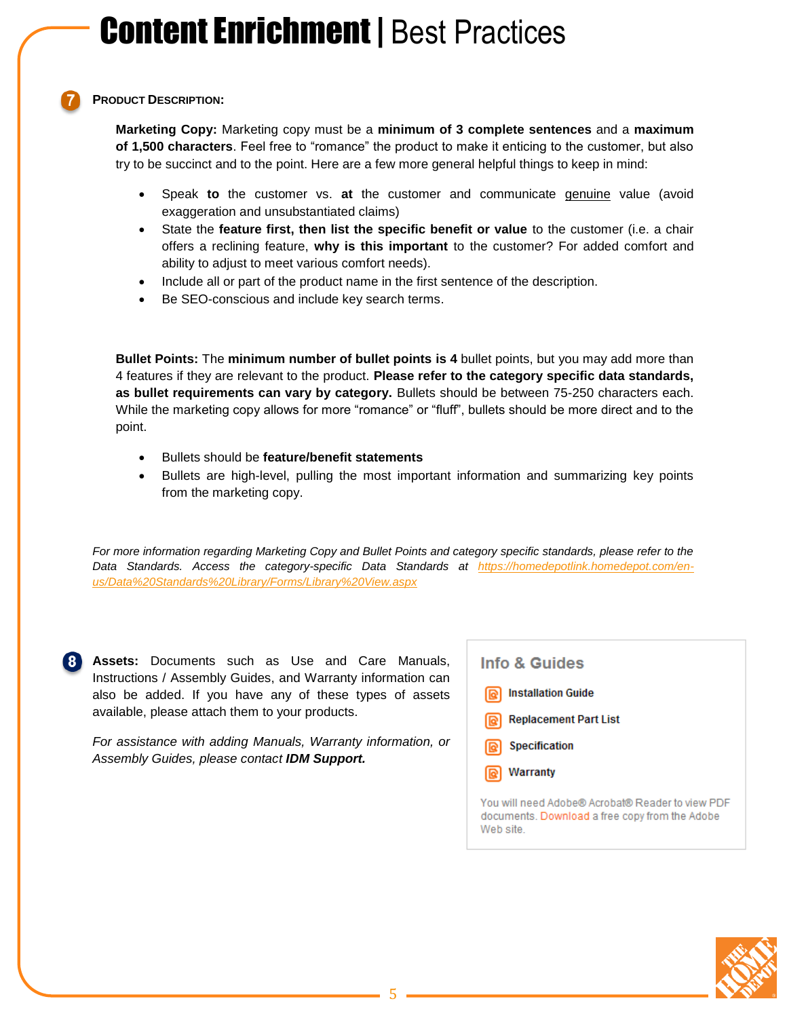#### **PRODUCT DESCRIPTION:**

**Marketing Copy:** Marketing copy must be a **minimum of 3 complete sentences** and a **maximum of 1,500 characters**. Feel free to "romance" the product to make it enticing to the customer, but also try to be succinct and to the point. Here are a few more general helpful things to keep in mind:

- Speak **to** the customer vs. **at** the customer and communicate genuine value (avoid exaggeration and unsubstantiated claims)
- State the **feature first, then list the specific benefit or value** to the customer (i.e. a chair offers a reclining feature, **why is this important** to the customer? For added comfort and ability to adjust to meet various comfort needs).
- Include all or part of the product name in the first sentence of the description.
- Be SEO-conscious and include key search terms.

**Bullet Points:** The **minimum number of bullet points is 4** bullet points, but you may add more than 4 features if they are relevant to the product. **Please refer to the category specific data standards, as bullet requirements can vary by category.** Bullets should be between 75-250 characters each. While the marketing copy allows for more "romance" or "fluff", bullets should be more direct and to the point.

- Bullets should be **feature/benefit statements**
- Bullets are high-level, pulling the most important information and summarizing key points from the marketing copy.

*For more information regarding Marketing Copy and Bullet Points and category specific standards, please refer to the Data Standards. Access the category-specific Data Standards at [https://homedepotlink.homedepot.com/en](https://homedepotlink.homedepot.com/en-us/Data%20Standards%20Library/Forms/Library%20View.aspx)[us/Data%20Standards%20Library/Forms/Library%20View.aspx](https://homedepotlink.homedepot.com/en-us/Data%20Standards%20Library/Forms/Library%20View.aspx)*

**Assets:** Documents such as Use and Care Manuals, Instructions / Assembly Guides, and Warranty information can also be added. If you have any of these types of assets available, please attach them to your products.

*For assistance with adding Manuals, Warranty information, or Assembly Guides, please contact IDM Support.*

Info & Guides **Installation Guide Replacement Part List** Specification Warranty You will need Adobe® Acrobat® Reader to view PDF documents. Download a free copy from the Adobe Web site